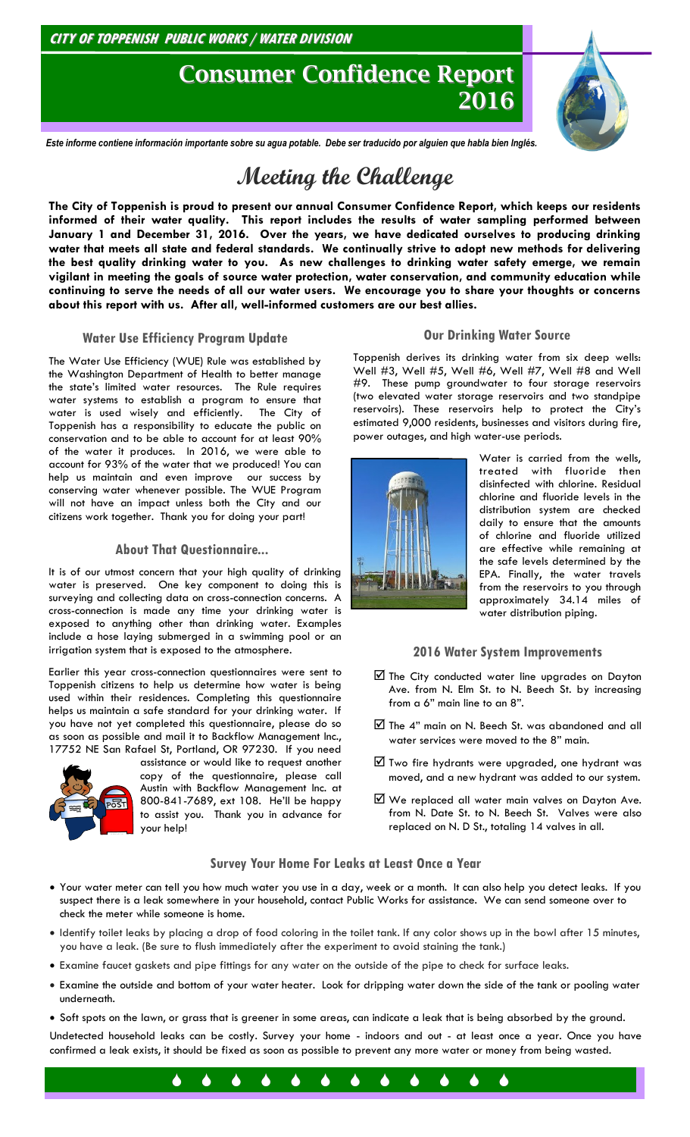### **CITY OF TOPPENISH PUBLIC WORKS / WATER DIVISION**

## **Consumer Confidence Report 2016**



*Este informe contiene información importante sobre su agua potable. Debe ser traducido por alguien que habla bien Inglés.*

# **Meeting the Challenge**

**The City of Toppenish is proud to present our annual Consumer Confidence Report, which keeps our residents informed of their water quality. This report includes the results of water sampling performed between January 1 and December 31, 2016. Over the years, we have dedicated ourselves to producing drinking water that meets all state and federal standards. We continually strive to adopt new methods for delivering the best quality drinking water to you. As new challenges to drinking water safety emerge, we remain vigilant in meeting the goals of source water protection, water conservation, and community education while continuing to serve the needs of all our water users. We encourage you to share your thoughts or concerns about this report with us. After all, well-informed customers are our best allies.**

### **Water Use Efficiency Program Update**

The Water Use Efficiency (WUE) Rule was established by the Washington Department of Health to better manage the state's limited water resources. The Rule requires water systems to establish a program to ensure that water is used wisely and efficiently. The City of Toppenish has a responsibility to educate the public on conservation and to be able to account for at least 90% of the water it produces. In 2016, we were able to account for 93% of the water that we produced! You can help us maintain and even improve our success by conserving water whenever possible. The WUE Program will not have an impact unless both the City and our citizens work together. Thank you for doing your part!

### **About That Questionnaire...**

It is of our utmost concern that your high quality of drinking water is preserved. One key component to doing this is surveying and collecting data on cross-connection concerns. A cross-connection is made any time your drinking water is exposed to anything other than drinking water. Examples include a hose laying submerged in a swimming pool or an irrigation system that is exposed to the atmosphere.

Earlier this year cross-connection questionnaires were sent to Toppenish citizens to help us determine how water is being used within their residences. Completing this questionnaire helps us maintain a safe standard for your drinking water. If you have not yet completed this questionnaire, please do so as soon as possible and mail it to Backflow Management Inc., 17752 NE San Rafael St, Portland, OR 97230. If you need



assistance or would like to request another copy of the questionnaire, please call Austin with Backflow Management Inc. at 800-841-7689, ext 108. He'll be happy to assist you. Thank you in advance for your help!

### **Our Drinking Water Source**

Toppenish derives its drinking water from six deep wells: Well #3, Well #5, Well #6, Well #7, Well #8 and Well #9. These pump groundwater to four storage reservoirs (two elevated water storage reservoirs and two standpipe reservoirs). These reservoirs help to protect the City's estimated 9,000 residents, businesses and visitors during fire, power outages, and high water-use periods.



Water is carried from the wells, treated with fluoride then disinfected with chlorine. Residual chlorine and fluoride levels in the distribution system are checked daily to ensure that the amounts of chlorine and fluoride utilized are effective while remaining at the safe levels determined by the EPA. Finally, the water travels from the reservoirs to you through approximately 34.14 miles of water distribution piping.

### **2016 Water System Improvements**

- $\boxtimes$  The City conducted water line upgrades on Dayton Ave. from N. Elm St. to N. Beech St. by increasing from a 6" main line to an 8".
- $\boxtimes$  The 4" main on N. Beech St. was abandoned and all water services were moved to the 8" main.
- Two fire hydrants were upgraded, one hydrant was moved, and a new hydrant was added to our system.
- We replaced all water main valves on Dayton Ave. from N. Date St. to N. Beech St. Valves were also replaced on N. D St., totaling 14 valves in all.

### **Survey Your Home For Leaks at Least Once a Year**

- Your water meter can tell you how much water you use in a day, week or a month. It can also help you detect leaks. If you suspect there is a leak somewhere in your household, contact Public Works for assistance. We can send someone over to check the meter while someone is home.
- Identify toilet leaks by placing a drop of food coloring in the toilet tank. If any color shows up in the bowl after 15 minutes, you have a leak. (Be sure to flush immediately after the experiment to avoid staining the tank.)
- Examine faucet gaskets and pipe fittings for any water on the outside of the pipe to check for surface leaks.
- Examine the outside and bottom of your water heater. Look for dripping water down the side of the tank or pooling water underneath.
- Soft spots on the lawn, or grass that is greener in some areas, can indicate a leak that is being absorbed by the ground.

Undetected household leaks can be costly. Survey your home - indoors and out - at least once a year. Once you have confirmed a leak exists, it should be fixed as soon as possible to prevent any more water or money from being wasted.

. . . . . . . . . . . . .